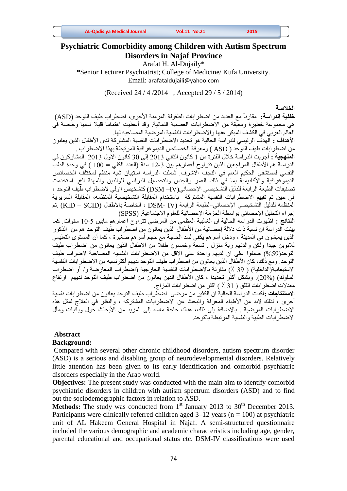| <b>AL-Qadisiya Medical Journal</b> | <b>Vol.11 No.21</b> | 2015 |  |
|------------------------------------|---------------------|------|--|
|------------------------------------|---------------------|------|--|

# **Psychiatric Comorbidity among Children with Autism Spectrum Disorders in Najaf Province**

Arafat H. Al-Dujaily\*

\*Senior Lecturer Psychiatrist; College of Medicine/ Kufa University. Email: [arafataldujaili@yahoo.com](mailto:arafataldujaili@yahoo.com)

(Received 24 / 4 /2014 , Accepted 29 / 5 / 2014)

**الخالصة**

**خلفية الدراسة:** مقارنآ مع العديد من اضطرابات الطفولة المزمنة األخرى، اضطراب طيف التوحد (ASD( هي مجموعة خطيرة ومعيقة من االضطرابات العصبية النمائية. وقد أعطيت اهتماما قليال نسبيا وخاصة في العالم العربي في الكشف المبكر عنها واالضطرابات النفسية المرضية المصاحبه لها.

**األهداف :** الهدف الرئيسي للدراسة الحالية هو تحديد االضطرابات النفسية المشتركة لدى األطفال الذين يعانون من اضطرابات طيف التوحد ( ASD ( ومعرفة الخصائص الديموغرافية المرتبطة بهذا االضطراب .

**المنهجية :** أجريت الدراسة خالل الفترة من 1 كانون الثاني 3112 إلى 21 كانون االول 3112 .المشاركون في الدراسة هم الأطفال المراجعين الذين تتراوح أعمار هم بين 3-12 سنة (العدد الكلي = 100 ) في وحدة الطبّ النفسي لمستشفى الحكيم العام في النجف الاشرف. شملت الدراسه استبيان شبه منظم لمختلف الخصائص الديموغرافية واألكاديمية بما في ذلك العمر والجنس والتحصيل الدراسي للوالدين والمهنة الخ. استخدمت تصنيفات الطبعة الرابعة للدليل التشخيصي اإلحصائي(IV –DSM (كتشخيص ااولي الضطراب طيف التوحد ، في حين تم تقييم االضطرابات النفسية المشتركة باستخدام المقابلة التشخيصية المنظمه، المقابلة السريرية المنظمه للدليل التشخيصي الإحصائي-الطبعة الرابعة (IV -DSM ، IV ، الخاصة بالاطفال (KID – SCID) .تم إجراء التحليل اإلحصائي بواسطة الحزمة اإلحصائية للعلوم االجتماعية. (SPSS(

**النتائج :** اظهرت الدراسه الحالية ان الغالبية العظمى من المرضى تتراوح اعمارهم مابين 11-5 سنوات. كما بينت الدراسة ان نسبة ذات دلالة إحصائية من الأطفال الذين يعانون من اضطراب طيف التوحد هم من الذكور الذين يعيشون في المدينة ، ودخل أسرهم يكفي لسد الحاجة مع حجم أسرهم صغيرة ، كما أن المستوى التعليمي لالبوين جيدا ولكن والدتهم ربة منزل . تسعة وخمسون طفال من االطفال الذين يعانون من اضطراب طيف التوحد(59%) صنفوا على ان لديهم واحدة على الاقل من الاضطرابات النفسيه المصاحبة لاضراب طيف التوحد. ومع ذلك، كان الأطفال الذين يعانون من اضطراب طيف التوحد لديهم أكثرنسبه من الاضطرابات النفسية الاستيعابية(الداخلية) ( 39 ٪) مقارنة بالاضطر ابات النفسية الخارجية (اضطر اب المعارضة و/ أو اضطر اب السلوك) (20%). وبشكل أكثر تحديدا ، كان الأطفال الذين يعانون من اضطراب طيف التوحد لديهم ارتفاع معدالت اضطرابات القلق ) 21 ٪ ( اكثر من اضطرابات المزاج.

**االستنتاجات :**أكدت الدراسة الحالية ان الكثير من مرضى اضطراب طيف التوحد يعانون من اضطرابات نفسية أخرى ، لذلك لابد من الأطباء المعرفة والبحث عن الاضطرابات المشتركه ، والنظر في العلاج لمثل هذه الاضطرابات المرضية . بالإضافة إلى ذلك، هناك حاجة ماسه إلى المزيد من الأبحاث حول وبائيات ومأل االضطرابات الطبية والنفسية المرتبطة بالتوحد.

### **Abstract**

### **Background:**

Compared with several other chronic childhood disorders, autism spectrum disorder (ASD) is a serious and disabling group of neurodevelopmental disorders. Relatively little attention has been given to its early identification and comorbid psychiatric disorders especially in the Arab world.

**Objectives:** The present study was conducted with the main aim to identify comorbid psychiatric disorders in children with autism spectrum disorders (ASD) and to find out the sociodemographic factors in relation to ASD.

**Methods:** The study was conducted from  $1<sup>st</sup>$  January 2013 to  $30<sup>th</sup>$  December 2013. Participants were clinically referred children aged  $3-12$  years (n = 100) at psychiatric unit of AL Hakeem General Hospital in Najaf. A semi-structured questionnaire included the various demographic and academic characteristics including age, gender, parental educational and occupational status etc. DSM-IV classifications were used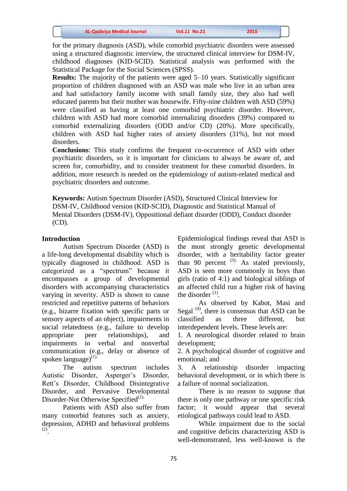for the primary diagnosis (ASD), while comorbid psychiatric disorders were assessed using a structured diagnostic interview, the structured clinical interview for DSM-IV, childhood diagnoses (KID-SCID). Statistical analysis was performed with the Statistical Package for the Social Sciences (SPSS).

**Results:** The majority of the patients were aged 5–10 years. Statistically significant proportion of children diagnosed with an ASD was male who live in an urban area and had satisfactory family income with small family size, they also had well educated parents but their mother was housewife. Fifty-nine children with ASD (59%) were classified as having at least one comorbid psychiatric disorder. However, children with ASD had more comorbid internalizing disorders (39%) compared to comorbid externalizing disorders (ODD and/or CD) (20%). More specifically, children with ASD had higher rates of anxiety disorders (31%), but not mood disorders.

**Conclusions**: This study confirms the frequent co-occurrence of ASD with other psychiatric disorders, so it is important for clinicians to always be aware of, and screen for, comorbidity, and to consider treatment for these comorbid disorders. In addition, more research is needed on the epidemiology of autism-related medical and psychiatric disorders and outcome.

**Keywords:** Autism Spectrum Disorder (ASD), Structured Clinical Interview for DSM-IV, Childhood version (KID-SCID), Diagnostic and Statistical Manual of Mental Disorders (DSM-IV), Oppositional defiant disorder (ODD), Conduct disorder (CD).

#### **Introduction**

Autism Spectrum Disorder (ASD) is a life-long developmental disability which is typically diagnosed in childhood. ASD is categorized as a "spectrum" because it encompasses a group of developmental disorders with accompanying characteristics varying in severity. ASD is shown to cause restricted and repetitive patterns of behaviors (e.g., bizarre fixation with specific parts or sensory aspects of an object), impairments in social relatedness (e.g., failure to develop appropriate peer relationships), and impairments in verbal and nonverbal communication (e.g., delay or absence of spoken language $(1)$ .

The autism spectrum includes Autistic Disorder, Asperger's Disorder, Rett's Disorder, Childhood Disintegrative Disorder, and Pervasive Developmental Disorder-Not Otherwise Specified<sup>(1).</sup>

Patients with ASD also suffer from many comorbid features such as anxiety, depression, ADHD and behavioral problems (2) .

Epidemiological findings reveal that ASD is the most strongly genetic developmental disorder, with a heritability factor greater than 90 percent  $(3)$ . As stated previously, ASD is seen more commonly in boys than girls (ratio of 4:1) and biological siblings of an affected child run a higher risk of having the disorder  $(1)$ .

As observed by Kabot, Masi and Segal  $<sup>(4)</sup>$ , there is consensus that ASD can be</sup> classified as three different, but interdependent levels. These levels are:

1. A neurological disorder related to brain development;

2. A psychological disorder of cognitive and emotional; and

3. A relationship disorder impacting behavioral development, or in which there is a failure of normal socialization.

There is no reason to suppose that there is only one pathway or one specific risk factor; it would appear that several etiological pathways could lead to ASD.

While impairment due to the social and cognitive deficits characterizing ASD is well-demonstrated, less well-known is the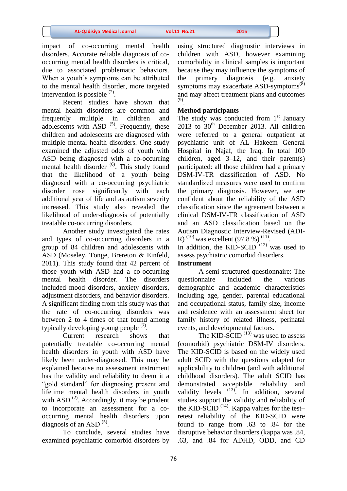impact of co-occurring mental health disorders. Accurate reliable diagnosis of cooccurring mental health disorders is critical, due to associated problematic behaviors. When a youth's symptoms can be attributed to the mental health disorder, more targeted intervention is possible  $(2)$ .

Recent studies have shown that mental health disorders are common and frequently multiple in children and adolescents with  $\overline{ASD}$  (5). Frequently, these children and adolescents are diagnosed with multiple mental health disorders. One study examined the adjusted odds of youth with ASD being diagnosed with a co-occurring mental health disorder <sup>(6)</sup>. This study found that the likelihood of a youth being diagnosed with a co-occurring psychiatric disorder rose significantly with each additional year of life and as autism severity increased. This study also revealed the likelihood of under-diagnosis of potentially treatable co-occurring disorders.

Another study investigated the rates and types of co-occurring disorders in a group of 84 children and adolescents with ASD (Moseley, Tonge, Brereton & Einfeld, 2011). This study found that 42 percent of those youth with ASD had a co-occurring mental health disorder. The disorders included mood disorders, anxiety disorders, adjustment disorders, and behavior disorders. A significant finding from this study was that the rate of co-occurring disorders was between 2 to 4 times of that found among typically developing young people  $(7)$ .

Current research shows that potentially treatable co-occurring mental health disorders in youth with ASD have likely been under-diagnosed. This may be explained because no assessment instrument has the validity and reliability to deem it a "gold standard" for diagnosing present and lifetime mental health disorders in youth with ASD  $^{(2)}$ . Accordingly, it may be prudent to incorporate an assessment for a cooccurring mental health disorders upon diagnosis of an ASD $(5)$ .

To conclude, several studies have examined psychiatric comorbid disorders by

using structured diagnostic interviews in children with ASD, however examining comorbidity in clinical samples is important because they may influence the symptoms of the primary diagnosis (e.g. anxiety symptoms may exacerbate ASD-symptoms<sup>(8)</sup> and may affect treatment plans and outcomes (9) .

### **Method participants**

The study was conducted from  $1<sup>st</sup>$  January 2013 to  $30<sup>th</sup>$  December 2013. All children were referred to a general outpatient at psychiatric unit of AL Hakeem General Hospital in Najaf, the Iraq. In total 100 children, aged  $3-12$ , and their parent(s) participated: all those children had a primary DSM-IV-TR classification of ASD. No standardized measures were used to confirm the primary diagnosis. However, we are confident about the reliability of the ASD classification since the agreement between a clinical DSM-IV-TR classification of ASD and an ASD classification based on the Autism Diagnostic Interview-Revised (ADI-R)<sup>(10)</sup> was excellent (97.8 %)<sup>(11)</sup>.

In addition, the KID-SCID<sup> $(12)$ </sup> was used to assess psychiatric comorbid disorders.

#### **Instrument**

A semi-structured questionnaire: The questionnaire included the various demographic and academic characteristics including age, gender, parental educational and occupational status, family size, income and residence with an assessment sheet for family history of related illness, perinatal events, and developmental factors.

The KID-SCID<sup> $(13)$ </sup> was used to assess (comorbid) psychiatric DSM-IV disorders. The KID-SCID is based on the widely used adult SCID with the questions adapted for applicability to children (and with additional childhood disorders). The adult SCID has demonstrated acceptable reliability and validity levels  $(13)$ . In addition, several studies support the validity and reliability of the KID-SCID<sup>(14)</sup>. Kappa values for the testretest reliability of the KID-SCID were found to range from .63 to .84 for the disruptive behavior disorders (kappa was .84, .63, and .84 for ADHD, ODD, and CD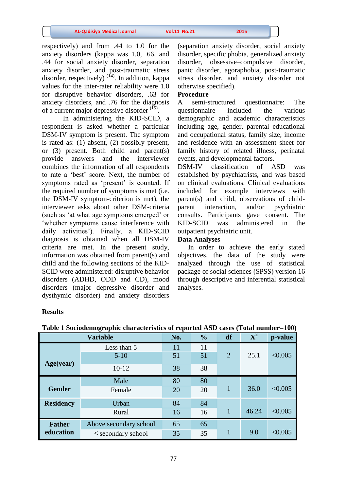respectively) and from .44 to 1.0 for the anxiety disorders (kappa was 1.0, .66, and .44 for social anxiety disorder, separation anxiety disorder, and post-traumatic stress disorder, respectively)<sup>(14)</sup>. In addition, kappa values for the inter-rater reliability were 1.0 for disruptive behavior disorders, .63 for anxiety disorders, and .76 for the diagnosis of a current major depressive disorder  $^{(15)}$ .

In administering the KID-SCID, a respondent is asked whether a particular DSM-IV symptom is present. The symptom is rated as: (1) absent, (2) possibly present, or (3) present. Both child and parent(s) provide answers and the interviewer combines the information of all respondents to rate a 'best' score. Next, the number of symptoms rated as 'present' is counted. If the required number of symptoms is met (i.e. the DSM-IV symptom-criterion is met), the interviewer asks about other DSM-criteria (such as 'at what age symptoms emerged' or 'whether symptoms cause interference with daily activities'). Finally, a KID-SCID diagnosis is obtained when all DSM-IV criteria are met. In the present study, information was obtained from parent(s) and child and the following sections of the KID-SCID were administered: disruptive behavior disorders (ADHD, ODD and CD), mood disorders (major depressive disorder and dysthymic disorder) and anxiety disorders

(separation anxiety disorder, social anxiety disorder, specific phobia, generalized anxiety disorder, obsessive–compulsive disorder, panic disorder, agoraphobia, post-traumatic stress disorder, and anxiety disorder not otherwise specified).

#### **Procedure**

A semi-structured questionnaire: The questionnaire included the various demographic and academic characteristics including age, gender, parental educational and occupational status, family size, income and residence with an assessment sheet for family history of related illness, perinatal events, and developmental factors.

DSM-IV classification of ASD was established by psychiatrists, and was based on clinical evaluations. Clinical evaluations included for example interviews with parent(s) and child, observations of childparent interaction, and/or psychiatric consults. Participants gave consent. The KID-SCID was administered in the outpatient psychiatric unit.

## **Data Analyses**

 In order to achieve the early stated objectives, the data of the study were analyzed through the use of statistical package of social sciences (SPSS) version 16 through descriptive and inferential statistical analyses.

#### **Results**

|                  | <b>Variable</b>        | No. | $\frac{0}{0}$ | df             | $\overline{\textbf{X}^2}$ | p-value |
|------------------|------------------------|-----|---------------|----------------|---------------------------|---------|
|                  | Less than 5            | 11  | 11            |                |                           |         |
|                  | $5-10$                 | 51  | 51            | $\overline{2}$ | 25.1                      | < 0.005 |
| Age(year)        | $10-12$                | 38  | 38            |                |                           |         |
|                  | Male                   | 80  | 80            |                |                           |         |
| <b>Gender</b>    | Female                 | 20  | 20            |                | 36.0                      | < 0.005 |
| <b>Residency</b> | Urban                  | 84  | 84            |                |                           |         |
|                  | Rural                  | 16  | 16            |                | 46.24                     | < 0.005 |
| <b>Father</b>    | Above secondary school | 65  | 65            |                |                           |         |
| education        | $\le$ secondary school | 35  | 35            |                | 9.0                       | < 0.005 |

**Table 1 Sociodemographic characteristics of reported ASD cases (Total number=100)**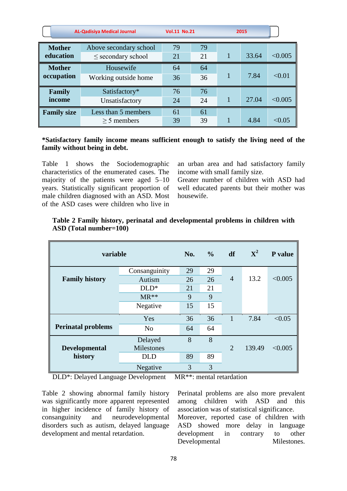|                            | <b>AL-Qadisiya Medical Journal</b>               | <b>Vol.11 No.21</b> |          | 2015  |         |
|----------------------------|--------------------------------------------------|---------------------|----------|-------|---------|
| <b>Mother</b><br>education | Above secondary school<br>$\le$ secondary school | 79<br>21            | 79<br>21 | 33.64 | < 0.005 |
| <b>Mother</b>              | Housewife                                        | 64                  | 64       |       |         |
| occupation                 | Working outside home                             | 36                  | 36       | 7.84  | < 0.01  |
| <b>Family</b>              | Satisfactory*                                    | 76                  | 76       |       |         |
| income                     | Unsatisfactory                                   | 24                  | 24       | 27.04 | < 0.005 |
| <b>Family size</b>         | Less than 5 members                              | 61                  | 61       |       |         |
|                            | $>$ 5 members                                    | 39                  | 39       | 4.84  | < 0.05  |

## **\*Satisfactory family income means sufficient enough to satisfy the living need of the family without being in debt.**

Table 1 shows the Sociodemographic characteristics of the enumerated cases. The majority of the patients were aged 5–10 years. Statistically significant proportion of male children diagnosed with an ASD. Most of the ASD cases were children who live in

an urban area and had satisfactory family income with small family size.

Greater number of children with ASD had well educated parents but their mother was housewife.

| variable                  |                | No. | $\frac{0}{0}$ | df             | ${\bf X}^2$ | P value |
|---------------------------|----------------|-----|---------------|----------------|-------------|---------|
|                           | Consanguinity  | 29  | 29            |                |             |         |
| <b>Family history</b>     | Autism         | 26  | 26            | $\overline{4}$ | 13.2        | < 0.005 |
|                           | $DLD^*$        | 21  | 21            |                |             |         |
|                           | $MR**$         | 9   | 9             |                |             |         |
|                           | Negative       | 15  | 15            |                |             |         |
|                           | Yes            | 36  | 36            | $\mathbf{1}$   | 7.84        | < 0.05  |
| <b>Perinatal problems</b> | N <sub>o</sub> | 64  | 64            |                |             |         |
|                           | Delayed        | 8   | 8             |                |             |         |
| <b>Developmental</b>      | Milestones     |     |               | $\overline{2}$ | 139.49      | < 0.005 |
| history                   | <b>DLD</b>     | 89  | 89            |                |             |         |
|                           | Negative       | 3   | 3             |                |             |         |

## **Table 2 Family history, perinatal and developmental problems in children with ASD (Total number=100)**

DLD\*: Delayed Language Development MR\*\*: mental retardation

Table 2 showing abnormal family history was significantly more apparent represented in higher incidence of family history of consanguinity and neurodevelopmental disorders such as autism, delayed language development and mental retardation.

Perinatal problems are also more prevalent among children with ASD and this association was of statistical significance. Moreover, reported case of children with ASD showed more delay in language development in contrary to other Developmental Milestones.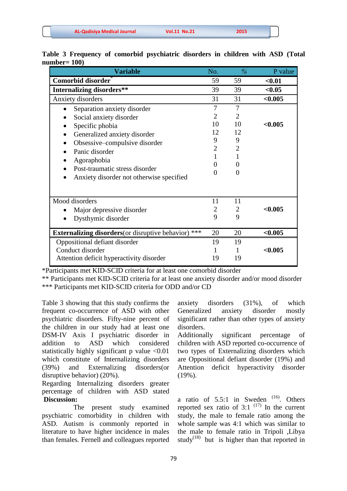| <b>AL-Qadisiya Medical Journal</b> | <b>Vol.11 No.21</b> | 2015 |  |
|------------------------------------|---------------------|------|--|
|                                    |                     |      |  |

| <b>Variable</b>                                             | No.            | $\frac{\partial}{\partial \theta}$ | P value |
|-------------------------------------------------------------|----------------|------------------------------------|---------|
| Comorbid disorder                                           | 59             | 59                                 | $0.01$  |
| <b>Internalizing disorders**</b>                            | 39             | 39                                 | < 0.05  |
| Anxiety disorders                                           | 31             | 31                                 | < 0.005 |
| Separation anxiety disorder                                 | 7              | 7                                  |         |
| Social anxiety disorder                                     | $\overline{2}$ | $\overline{2}$                     |         |
| Specific phobia                                             | 10             | 10                                 | < 0.005 |
| Generalized anxiety disorder<br>$\bullet$                   | 12             | 12                                 |         |
| Obsessive–compulsive disorder                               | 9              | 9                                  |         |
| Panic disorder                                              | $\overline{2}$ | $\overline{2}$                     |         |
| Agoraphobia                                                 |                |                                    |         |
| Post-traumatic stress disorder<br>$\bullet$                 | 0              | $\mathbf{0}$                       |         |
| Anxiety disorder not otherwise specified                    | $\Omega$       | 0                                  |         |
| Mood disorders                                              | 11             | 11                                 |         |
| Major depressive disorder                                   | $\overline{2}$ | $\overline{2}$                     | < 0.005 |
| Dysthymic disorder                                          | 9              | 9                                  |         |
| <b>Externalizing disorders</b> (or disruptive behavior) *** | 20             | 20                                 | < 0.005 |
| Oppositional defiant disorder                               | 19             | 19                                 |         |
| Conduct disorder                                            | 1              |                                    | < 0.005 |
| Attention deficit hyperactivity disorder                    | 19             | 19                                 |         |

**Table 3 Frequency of comorbid psychiatric disorders in children with ASD (Total number= 100)**

\*Participants met KID-SCID criteria for at least one comorbid disorder

\*\* Participants met KID-SCID criteria for at least one anxiety disorder and/or mood disorder \*\*\* Participants met KID-SCID criteria for ODD and/or CD

Table 3 showing that this study confirms the frequent co-occurrence of ASD with other psychiatric disorders. Fifty-nine percent of the children in our study had at least one DSM-IV Axis I psychiatric disorder in addition to ASD which considered statistically highly significant p value ˂0.01 which constitute of Internalizing disorders (39%) and Externalizing disorders(or disruptive behavior) (20%).

Regarding Internalizing disorders greater percentage of children with ASD stated **Discussion:**

 The present study examined psychiatric comorbidity in children with ASD. Autism is commonly reported in literature to have higher incidence in males than females. Fernell and colleagues reported

anxiety disorders (31%), of which Generalized anxiety disorder mostly significant rather than other types of anxiety disorders.

Additionally significant percentage of children with ASD reported co-occurrence of two types of Externalizing disorders which are Oppositional defiant disorder (19%) and Attention deficit hyperactivity disorder (19%).

a ratio of  $5.5:1$  in Sweden<sup>(16)</sup>. Others reported sex ratio of 3:1  $(17)$  In the current study, the male to female ratio among the whole sample was 4:1 which was similar to the male to female ratio in Tripoli ,Libya study<sup>(18)</sup> but is higher than that reported in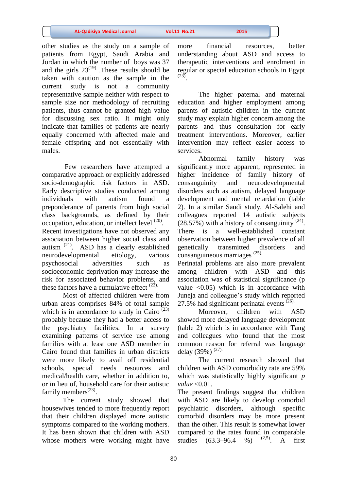other studies as the study on a sample of patients from Egypt, Saudi Arabia and Jordan in which the number of boys was 37 and the girls  $23^{(19)}$ . These results should be taken with caution as the sample in the current study is not a community representative sample neither with respect to sample size nor methodology of recruiting patients, thus cannot be granted high value for discussing sex ratio. It might only indicate that families of patients are nearly equally concerned with affected male and female offspring and not essentially with males.

Few researchers have attempted a comparative approach or explicitly addressed socio-demographic risk factors in ASD. Early descriptive studies conducted among individuals with autism found a preponderance of parents from high social class backgrounds, as defined by their occupation, education, or intellect level <sup>(20)</sup>. Recent investigations have not observed any association between higher social class and autism<sup>(21)</sup>. ASD has a clearly established neurodevelopmental etiology, various psychosocial adversities such as socioeconomic deprivation may increase the risk for associated behavior problems, and these factors have a cumulative effect  $(22)$ .

Most of affected children were from urban areas comprises 84% of total sample which is in accordance to study in Cairo  $(23)$ probably because they had a better access to the psychiatry facilities. In a survey examining patterns of service use among families with at least one ASD member in Cairo found that families in urban districts were more likely to avail off residential schools, special needs resources and medical/health care, whether in addition to, or in lieu of, household care for their autistic family members<sup> $(23)$ </sup>.

The current study showed that housewives tended to more frequently report that their children displayed more autistic symptoms compared to the working mothers. It has been shown that children with ASD whose mothers were working might have

more financial resources, better understanding about ASD and access to therapeutic interventions and enrolment in regular or special education schools in Egypt (23) .

The higher paternal and maternal education and higher employment among parents of autistic children in the current study may explain higher concern among the parents and thus consultation for early treatment interventions. Moreover, earlier intervention may reflect easier access to services.

Abnormal family history was significantly more apparent, represented in higher incidence of family history of consanguinity and neurodevelopmental disorders such as autism, delayed language development and mental retardation (table 2). In a similar Saudi study, Al-Salehi and colleagues reported 14 autistic subjects  $(28.57%)$  with a history of consanguinity  $(24)$ . There is a well-established constant observation between higher prevalence of all genetically transmitted disorders and consanguineous marriages<sup>(25).</sup>

Perinatal problems are also more prevalent among children with ASD and this association was of statistical significance (p value  $\leq 0.05$ ) which is in accordance with Juneja and colleague's study which reported 27.5% had significant perinatal events<sup> $(26)$ .</sup>

Moreover, children with ASD showed more delayed language development (table 2) which is in accordance with Tang and colleagues who found that the most common reason for referral was language delay (39%)<sup>(27).</sup>

The current research showed that children with ASD comorbidity rate are 59% which was statistically highly significant *p value* ˂0.01.

The present findings suggest that children with ASD are likely to develop comorbid psychiatric disorders, although specific comorbid disorders may be more present than the other. This result is somewhat lower compared to the rates found in comparable studies (63.3–96.4 %)  $(2,5)$ . A first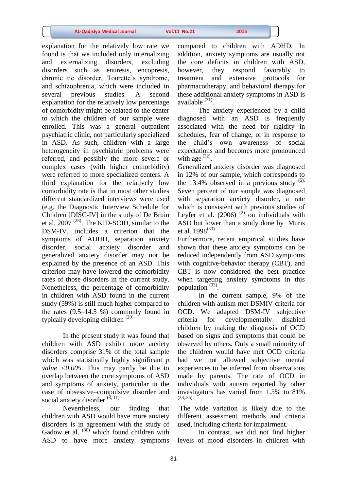explanation for the relatively low rate we found is that we included only internalizing and externalizing disorders, excluding disorders such as enuresis, encopresis, chronic tic disorder, Tourette's syndrome, and schizophrenia, which were included in several previous studies. A second explanation for the relatively low percentage of comorbidity might be related to the center to which the children of our sample were enrolled. This was a general outpatient psychiatric clinic, not particularly specialized in ASD. As such, children with a large heterogeneity in psychiatric problems were referred, and possibly the more severe or complex cases (with higher comorbidity) were referred to more specialized centers. A third explanation for the relatively low comorbidity rate is that in most other studies different standardized interviews were used (e.g. the Diagnostic Interview Schedule for Children [DISC-IV] in the study of De Bruin et al.  $2007$ <sup>(28)</sup>. The KID-SCID, similar to the DSM-IV, includes a criterion that the symptoms of ADHD, separation anxiety disorder, social anxiety disorder and generalized anxiety disorder may not be explained by the presence of an ASD. This criterion may have lowered the comorbidity rates of those disorders in the current study. Nonetheless, the percentage of comorbidity in children with ASD found in the current study (59%) is still much higher compared to the rates  $(9.5-14.5 \%)$  commonly found in typically developing children  $(29)$ .

In the present study it was found that children with ASD exhibit more anxiety disorders comprise 31% of the total sample which was statistically highly significant *p value ˂0.005*. This may partly be due to overlap between the core symptoms of ASD and symptoms of anxiety, particular in the case of obsessive–compulsive disorder and social anxiety disorder  $(\hat{8}, 11)$ .

Nevertheless, our finding that children with ASD would have more anxiety disorders is in agreement with the study of Gadow et al.  $(30)$  which found children with ASD to have more anxiety symptoms

compared to children with ADHD. In addition, anxiety symptoms are usually not the core deficits in children with ASD, however, they respond favorably to treatment and extensive protocols for pharmacotherapy, and behavioral therapy for these additional anxiety symptoms in ASD is available  $(31)$ .

The anxiety experienced by a child diagnosed with an ASD is frequently associated with the need for rigidity in schedules, fear of change, or in response to the child's own awareness of social expectations and becomes more pronounced with age  $(32)$ .

Generalized anxiety disorder was diagnosed in 12% of our sample, which corresponds to the 13.4% observed in a previous study  $(5)$ . Seven percent of our sample was diagnosed with separation anxiety disorder, a rate which is consistent with previous studies of Leyfer et al.  $(2006)$ <sup> $(2)$ </sup> on individuals with ASD but lower than a study done by Muris et al.  $1998^{(33)}$ .

Furthermore, recent empirical studies have shown that these anxiety symptoms can be reduced independently from ASD symptoms with cognitive-behavior therapy (CBT), and CBT is now considered the best practice when targeting anxiety symptoms in this population  $^{(33)}$ .

In the current sample, 9% of the children with autism met DSMIV criteria for OCD. We adapted DSM-IV subjective criteria for developmentally disabled children by making the diagnosis of OCD based on signs and symptoms that could be observed by others. Only a small minority of the children would have met OCD criteria had we not allowed subjective mental experiences to be inferred from observations made by parents. The rate of OCD in individuals with autism reported by other investigators has varied from 1.5% to 81% (33, 35).

The wide variation is likely due to the different assessment methods and criteria used, including criteria for impairment.

In contrast, we did not find higher levels of mood disorders in children with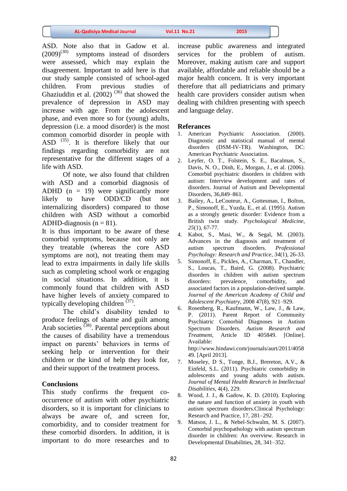| <b>AL-Qadisiya Medical Journal</b> | <b>Vol.11 No.21</b> | 2015 |
|------------------------------------|---------------------|------|
|                                    |                     |      |

ASD. Note also that in Gadow et al.  $(2009)^{(30)}$  symptoms instead of disorders were assessed, which may explain the disagreement. Important to add here is that our study sample consisted of school-aged children. From previous studies of Ghaziuddin et al.  $(2002)^{(36)}$  that showed the prevalence of depression in ASD may increase with age. From the adolescent phase, and even more so for (young) adults, depression (i.e. a mood disorder) is the most common comorbid disorder in people with ASD  $(35)$ . It is therefore likely that our findings regarding comorbidity are not representative for the different stages of a life with ASD.

Of note, we also found that children with ASD and a comorbid diagnosis of ADHD  $(n = 19)$  were significantly more likely to have ODD/CD (but not internalizing disorders) compared to those children with ASD without a comorbid ADHD-diagnosis  $(n = 81)$ .

It is thus important to be aware of these comorbid symptoms, because not only are they treatable (whereas the core ASD symptoms are not), not treating them may lead to extra impairments in daily life skills such as completing school work or engaging in social situations. In addition, it is commonly found that children with ASD have higher levels of anxiety compared to typically developing children  $(37)$ .

The child's disability tended to produce feelings of shame and guilt among Arab societies  $(38)$ . Parental perceptions about the causes of disability have a tremendous impact on parents' behaviors in terms of seeking help or intervention for their children or the kind of help they look for, and their support of the treatment process.

## **Conclusions**

This study confirms the frequent cooccurrence of autism with other psychiatric disorders, so it is important for clinicians to always be aware of, and screen for, comorbidity, and to consider treatment for these comorbid disorders. In addition, it is important to do more researches and to

increase public awareness and integrated services for the problem of autism. Moreover, making autism care and support available, affordable and reliable should be a major health concern. It is very important therefore that all pediatricians and primary health care providers consider autism when dealing with children presenting with speech and language delay.

## **Referances**

- 1. American Psychiatric Association. (2000). Diagnostic and statistical manual of mental disorders (DSM-IV-TR). Washington, DC: American Psychiatric Association.
- 2. Leyfer, O. T., Folstein, S. E., Bacalman, S., Davis, N. O., Dinh, E., Morgan, J., et al. (2006). Comorbid psychiatric disorders in children with autism: Interview development and rates of disorders. Journal of Autism and Developmental Disorders, 36,849–861.
- 3. Bailey, A., LeCouteur, A., Gottesman, I., Bolton, P., Simonoff, E., Yuzda, E., et al. (1995). Autism as a strongly genetic disorder: Evidence from a British twin study. *Psychological Medicine, 25*(1), 67-77.
- 4. Kabot, S., Masi, W., & Segal, M. (2003). Advances in the diagnosis and treatment of autism spectrum disorders. *Professional Psychology: Research and Practice*, *34*(1), 26-33.
- 5. Simonoff, E., Pickles, A., Charman, T., Chandler, S., Loucas, T., Baird, G. (2008). Psychiatric disorders in children with autism spectrum disorders: prevalence, comorbidity, and associated factors in a population-derived sample. *Journal of the American Academy of Child and Adolescent Psychiatry*, 2008 47(8), 921–929.
- 6. Rosenberg, R., Kaufmann, W., Law, J., & Law, P. (2011). Parent Report of Community Psychiatric Comorbid Diagnoses in Autism Spectrum Disorders. *Autism Research and Treatment*, Article ID 405849. [Online]. Available:

http://www.hindawi.com/journals/aurt/2011/4058 49. [April 2013].

- 7. Moseley, D S., Tonge, B.J., Brereton, A.V., & Einfeld, S.L. (2011). Psychiatric comorbidity in adolescents and young adults with autism. *Journal of Mental Health Research in Intellectual Disabilities*, 4(4), 229.
- 8. Wood, J. J., & Gadow, K. D. (2010). Exploring the nature and function of anxiety in youth with autism spectrum disorders.Clinical Psychology: Research and Practice, 17, 281–292.
- 9. Matson, J. L., & Nebel-Schwalm, M. S. (2007). Comorbid psychopathology with autism spectrum disorder in children: An overview. Research in Developmental Disabilities, 28, 341–352.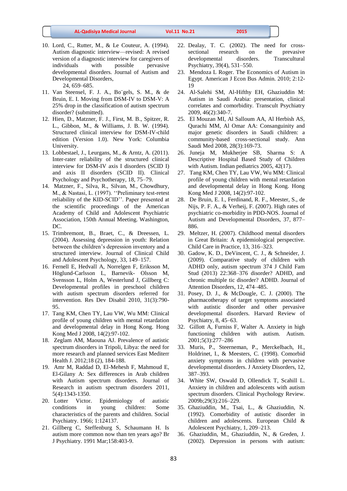- 10. Lord, C., Rutter, M., & Le Couteur, A. (1994). Autism diagnostic interview—revised: A revised version of a diagnostic interview for caregivers of individuals with possible pervasive developmental disorders. Journal of Autism and Developmental Disorders, 24, 659–685.
- 11. Van Steensel, F. J. A., Bo¨gels, S. M., & de Bruin, E. I. Moving from DSM-IV to DSM-V: A 25% drop in the classification of autism spectrum disorder? (submitted).
- 12. Hien, D., Matzner, F. J., First, M. B., Spitzer, R. L., Gibbon, M., & Williams, J. B. W. (1994). Structured clinical interview for DSM-IV-child edition (Version 1.0). New York: Columbia University.
- 13. Lobbestael, J., Leurgans, M., & Arntz, A. (2011). Inter-rater reliability of the structured clinical interview for DSM-IV axis I disorders (SCID I) and axis II disorders (SCID II). Clinical Psychology and Psychotherapy, 18, 75–79.
- 14. Matzner, F., Silva, R., Silvan, M., Chowdhury, M., & Nastasi, L. (1997). ''Preliminary test-retest reliability of the KID-SCID''. Paper presented at the scientific proceedings of the American Academy of Child and Adolescent Psychiatric Association, 150th Annual Meeting. Washington, DC.
- 15. Trimbremont, B., Braet, C., & Dreessen, L. (2004). Assessing depression in youth: Relation between the children's depression inventory and a structured interview. Journal of Clinical Child and Adolescent Psychology, 33, 149–157.
- 16. Fernell E, Hedvall A, Norrelgen F, Eriksson M, Höglund-Carlsson L, Barnevik- Olsson M, Svensson L, Holm A, Westerlund J, Gillberg C: Developmental profiles in preschool children with autism spectrum disorders referred for intervention. Res Dev Disabil 2010, 31(3):790- 95.
- 17. Tang KM, Chen TY, Lau VW, Wu MM: Clinical profile of young children with mental retardation and developmental delay in Hong Kong. Hong Kong Med J 2008, 14(2):97-102.
- 18. Zeglam AM, Maouna AJ. Prevalence of autistic spectrum disorders in Tripoli, Libya: the need for more research and planned services East Mediterr Health J. 2012;18 (2), 184-188.
- 19. Amr M, Raddad D, El-Mehesh F, Mahmoud E, El-Gilany A: Sex differences in Arab children with Autism spectrum disorders. Journal of Research in autism spectrum disorders 2011, 5(4):1343-1350.
- 20. Lotter Victor. Epidemiology of autistic conditions in young children: Some characteristics of the parents and children. Social Psychiatry. 1966; 1:124137.
- 21. Gillberg C, Steffenburg S, Schaumann H. Is autism more common now than ten years ago? Br J Psychiatry. 1991 Mar;158:403-9.
- 22. Dealay, T. C. (2002). The need for crosssectional research on the prevasive developmental disorders. Transcultural Psychiatry, 39(4), 531–550.
- 23. Mendoza L Roger. The Economics of Autism in Egypt. American J Econ Bus Admin. 2010; 2:12- 19
- 24. Al-Salehi SM, Al-Hifthy EH, Ghaziuddin M: Autism in Saudi Arabia: presentation, clinical correlates and comorbidity. Transcult Psychiatry 2009, 46(2):340-7.
- 25. El Mouzan MI, Al Salloum AA, Al Herbish AS, Qurachi MM, Al Omar AA: Consanguinity and major genetic disorders in Saudi children: a community-based cross-sectional study. Ann Saudi Med 2008, 28(3):169-73.
- 26. Juneja M, Mukherjee SB, Sharma S: A Descriptive Hospital Based Study of Children with Autism. Indian pediatrics 2005, 42(17).
- 27. Tang KM, Chen TY, Lau VW, Wu MM: Clinical profile of young children with mental retardation and developmental delay in Hong Kong. Hong Kong Med J 2008, 14(2):97-102.
- 28. De Bruin, E. I., Ferdinand, R. F., Meester, S., de Nijs, P. F. A., & Verheij, F. (2007). High rates of psychiatric co-morbidity in PDD-NOS. Journal of Autism and Developmental Disorders, 37, 877– 886.
- 29. Meltzer, H. (2007). Childhood mental disorders in Great Britain: A epidemiological perspective. Child Care in Practice, 13, 316–323.
- 30. Gadow, K. D., DeVincent, C. J., & Schneider, J. (2009). Comparative study of children with ADHD only, autism spectrum 374 J Child Fam Stud (2013) 22:368–376 disorder? ADHD, and chronic multiple tic disorder? ADHD. Journal of Attention Disorders, 12, 474–485.
- 31. Posey, D. J., & McDougle, C. J. (2000). The pharmacotherapy of target symptoms associated with autistic disorder and other pervasive developmental disorders. Harvard Review of Psychiatry, 8, 45–63.
- 32. Gillott A, Furniss F, Walter A. Anxiety in high functioning children with autism. Autism. 2001;5(3):277–286
- 33. Muris, P., Steerneman, P., Merckelbach, H., Holdrinet, I., & Meesters, C. (1998). Comorbid anxiety symptoms in children with pervasive developmental disorders. J Anxiety Disorders, 12, 387–393.
- 34. White SW, Oswald D, Ollendick T, Scahill L. Anxiety in children and adolescents with autism spectrum disorders. Clinical Psychology Review. 2009b;29(3):216–229.
- 35. Ghaziuddin, M., Tsai, L., & Ghaziuddin, N. (1992). Comorbidity of autistic disorder in children and adolescents. European Child & Adolescent Psychiatry, 1, 209–213.
- 36. Ghaziuddin, M., Ghaziuddin, N., & Greden, J. (2002). Depression in persons with autism: